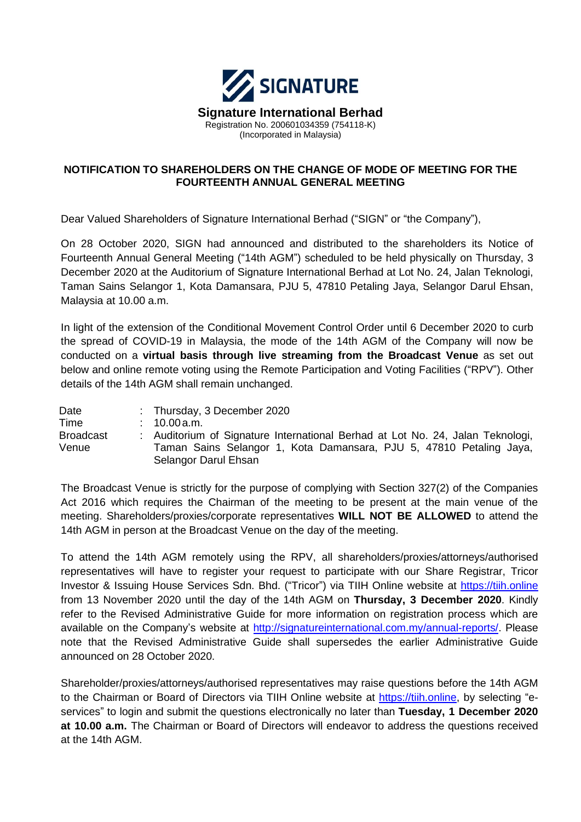

### **NOTIFICATION TO SHAREHOLDERS ON THE CHANGE OF MODE OF MEETING FOR THE FOURTEENTH ANNUAL GENERAL MEETING**

Dear Valued Shareholders of Signature International Berhad ("SIGN" or "the Company"),

On 28 October 2020, SIGN had announced and distributed to the shareholders its Notice of Fourteenth Annual General Meeting ("14th AGM") scheduled to be held physically on Thursday, 3 December 2020 at the Auditorium of Signature International Berhad at Lot No. 24, Jalan Teknologi, Taman Sains Selangor 1, Kota Damansara, PJU 5, 47810 Petaling Jaya, Selangor Darul Ehsan, Malaysia at 10.00 a.m.

In light of the extension of the Conditional Movement Control Order until 6 December 2020 to curb the spread of COVID-19 in Malaysia, the mode of the 14th AGM of the Company will now be conducted on a **virtual basis through live streaming from the Broadcast Venue** as set out below and online remote voting using the Remote Participation and Voting Facilities ("RPV"). Other details of the 14th AGM shall remain unchanged.

| Date             | : Thursday, 3 December 2020                                                    |  |  |
|------------------|--------------------------------------------------------------------------------|--|--|
| Time             | $: 10.00$ a.m.                                                                 |  |  |
| <b>Broadcast</b> | : Auditorium of Signature International Berhad at Lot No. 24, Jalan Teknologi, |  |  |
| Venue            | Taman Sains Selangor 1, Kota Damansara, PJU 5, 47810 Petaling Jaya,            |  |  |
|                  | Selangor Darul Ehsan                                                           |  |  |

The Broadcast Venue is strictly for the purpose of complying with Section 327(2) of the Companies Act 2016 which requires the Chairman of the meeting to be present at the main venue of the meeting. Shareholders/proxies/corporate representatives **WILL NOT BE ALLOWED** to attend the 14th AGM in person at the Broadcast Venue on the day of the meeting.

To attend the 14th AGM remotely using the RPV, all shareholders/proxies/attorneys/authorised representatives will have to register your request to participate with our Share Registrar, Tricor Investor & Issuing House Services Sdn. Bhd. ("Tricor") via TIIH Online website at [https://tiih.online](https://tiih.online/) from 13 November 2020 until the day of the 14th AGM on **Thursday, 3 December 2020**. Kindly refer to the Revised Administrative Guide for more information on registration process which are available on the Company's website at [http://signatureinternational.com.my/annual-reports/.](http://signatureinternational.com.my/annual-reports/) Please note that the Revised Administrative Guide shall supersedes the earlier Administrative Guide announced on 28 October 2020.

Shareholder/proxies/attorneys/authorised representatives may raise questions before the 14th AGM to the Chairman or Board of Directors via TIIH Online website at [https://tiih.online,](https://tiih.online/) by selecting "eservices" to login and submit the questions electronically no later than **Tuesday, 1 December 2020 at 10.00 a.m.** The Chairman or Board of Directors will endeavor to address the questions received at the 14th AGM.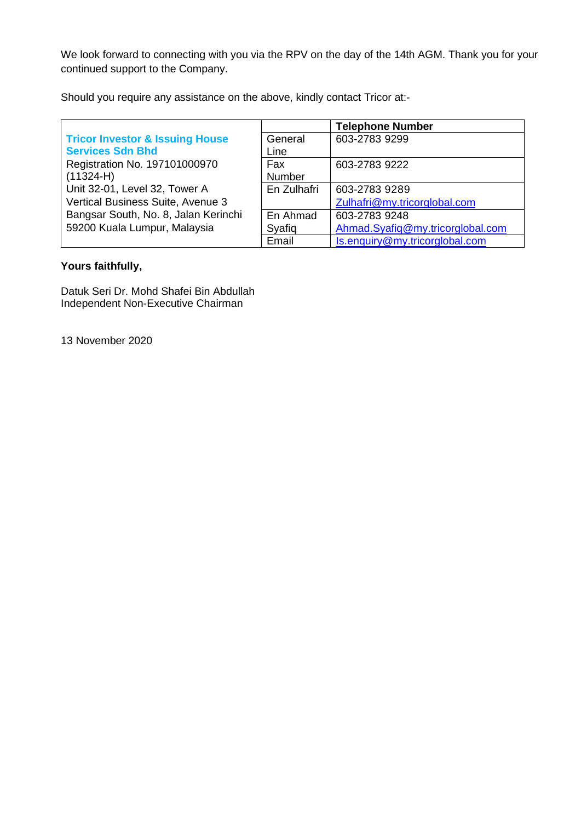We look forward to connecting with you via the RPV on the day of the 14th AGM. Thank you for your continued support to the Company.

Should you require any assistance on the above, kindly contact Tricor at:-

|                                            |             | <b>Telephone Number</b>          |
|--------------------------------------------|-------------|----------------------------------|
| <b>Tricor Investor &amp; Issuing House</b> | General     | 603-2783 9299                    |
| <b>Services Sdn Bhd</b>                    | Line        |                                  |
| Registration No. 197101000970              | Fax         | 603-2783 9222                    |
| $(11324-H)$                                | Number      |                                  |
| Unit 32-01, Level 32, Tower A              | En Zulhafri | 603-2783 9289                    |
| Vertical Business Suite, Avenue 3          |             | Zulhafri@my.tricorglobal.com     |
| Bangsar South, No. 8, Jalan Kerinchi       | En Ahmad    | 603-2783 9248                    |
| 59200 Kuala Lumpur, Malaysia               | Syafiq      | Ahmad.Syafiq@my.tricorglobal.com |
|                                            | Email       | Is.enquiry@my.tricorglobal.com   |

# **Yours faithfully,**

Datuk Seri Dr. Mohd Shafei Bin Abdullah Independent Non-Executive Chairman

13 November 2020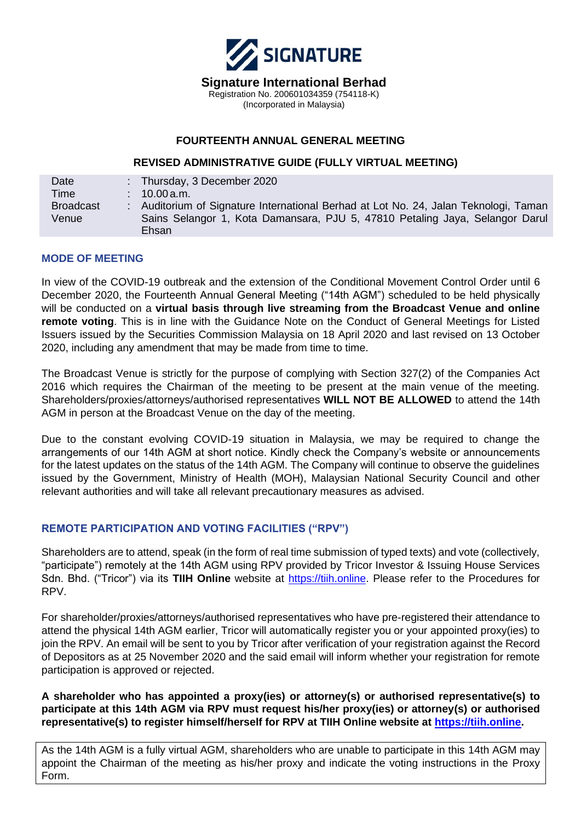

### **FOURTEENTH ANNUAL GENERAL MEETING**

#### **REVISED ADMINISTRATIVE GUIDE (FULLY VIRTUAL MEETING)**

| Date             | : Thursday, 3 December 2020                                                          |
|------------------|--------------------------------------------------------------------------------------|
| Time             | $10.00$ a.m.                                                                         |
| <b>Broadcast</b> | : Auditorium of Signature International Berhad at Lot No. 24, Jalan Teknologi, Taman |
| Venue            | Sains Selangor 1, Kota Damansara, PJU 5, 47810 Petaling Jaya, Selangor Darul         |
|                  | Ehsan                                                                                |

### **MODE OF MEETING**

In view of the COVID-19 outbreak and the extension of the Conditional Movement Control Order until 6 December 2020, the Fourteenth Annual General Meeting ("14th AGM") scheduled to be held physically will be conducted on a **virtual basis through live streaming from the Broadcast Venue and online remote voting**. This is in line with the Guidance Note on the Conduct of General Meetings for Listed Issuers issued by the Securities Commission Malaysia on 18 April 2020 and last revised on 13 October 2020, including any amendment that may be made from time to time.

The Broadcast Venue is strictly for the purpose of complying with Section 327(2) of the Companies Act 2016 which requires the Chairman of the meeting to be present at the main venue of the meeting. Shareholders/proxies/attorneys/authorised representatives **WILL NOT BE ALLOWED** to attend the 14th AGM in person at the Broadcast Venue on the day of the meeting.

Due to the constant evolving COVID-19 situation in Malaysia, we may be required to change the arrangements of our 14th AGM at short notice. Kindly check the Company's website or announcements for the latest updates on the status of the 14th AGM. The Company will continue to observe the guidelines issued by the Government, Ministry of Health (MOH), Malaysian National Security Council and other relevant authorities and will take all relevant precautionary measures as advised.

### **REMOTE PARTICIPATION AND VOTING FACILITIES ("RPV")**

Shareholders are to attend, speak (in the form of real time submission of typed texts) and vote (collectively, "participate") remotely at the 14th AGM using RPV provided by Tricor Investor & Issuing House Services Sdn. Bhd. ("Tricor") via its **TIIH Online** website at [https://tiih.online.](https://tiih.online/) Please refer to the Procedures for RPV.

For shareholder/proxies/attorneys/authorised representatives who have pre-registered their attendance to attend the physical 14th AGM earlier, Tricor will automatically register you or your appointed proxy(ies) to join the RPV. An email will be sent to you by Tricor after verification of your registration against the Record of Depositors as at 25 November 2020 and the said email will inform whether your registration for remote participation is approved or rejected.

**A shareholder who has appointed a proxy(ies) or attorney(s) or authorised representative(s) to participate at this 14th AGM via RPV must request his/her proxy(ies) or attorney(s) or authorised representative(s) to register himself/herself for RPV at TIIH Online website at [https://tiih.online.](https://tiih.online/)** 

As the 14th AGM is a fully virtual AGM, shareholders who are unable to participate in this 14th AGM may appoint the Chairman of the meeting as his/her proxy and indicate the voting instructions in the Proxy Form.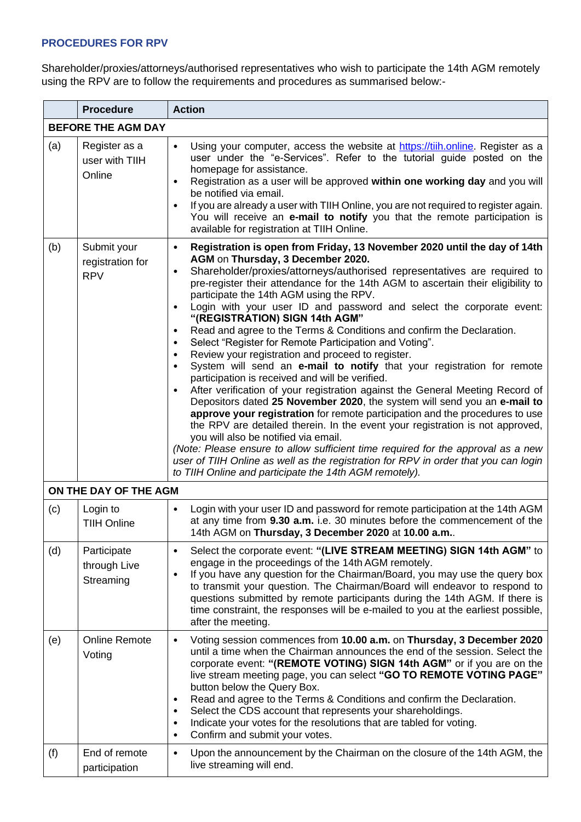### **PROCEDURES FOR RPV**

Shareholder/proxies/attorneys/authorised representatives who wish to participate the 14th AGM remotely using the RPV are to follow the requirements and procedures as summarised below:-

|                           | <b>Procedure</b>                              | <b>Action</b>                                                                                                                                                                                                                                                                                                                                                                                                                                                                                                                                                                                                                                                                                                                                                                                                                                                                                                                                                                                                                                                                                                                                                                                                                                                                                                                                                                                                                                                              |  |  |  |
|---------------------------|-----------------------------------------------|----------------------------------------------------------------------------------------------------------------------------------------------------------------------------------------------------------------------------------------------------------------------------------------------------------------------------------------------------------------------------------------------------------------------------------------------------------------------------------------------------------------------------------------------------------------------------------------------------------------------------------------------------------------------------------------------------------------------------------------------------------------------------------------------------------------------------------------------------------------------------------------------------------------------------------------------------------------------------------------------------------------------------------------------------------------------------------------------------------------------------------------------------------------------------------------------------------------------------------------------------------------------------------------------------------------------------------------------------------------------------------------------------------------------------------------------------------------------------|--|--|--|
| <b>BEFORE THE AGM DAY</b> |                                               |                                                                                                                                                                                                                                                                                                                                                                                                                                                                                                                                                                                                                                                                                                                                                                                                                                                                                                                                                                                                                                                                                                                                                                                                                                                                                                                                                                                                                                                                            |  |  |  |
| (a)                       | Register as a<br>user with TIIH<br>Online     | Using your computer, access the website at https://tiih.online. Register as a<br>$\bullet$<br>user under the "e-Services". Refer to the tutorial guide posted on the<br>homepage for assistance.<br>Registration as a user will be approved within one working day and you will<br>be notified via email.<br>If you are already a user with TIIH Online, you are not required to register again.<br>You will receive an e-mail to notify you that the remote participation is<br>available for registration at TIIH Online.                                                                                                                                                                                                                                                                                                                                                                                                                                                                                                                                                                                                                                                                                                                                                                                                                                                                                                                                                |  |  |  |
| (b)                       | Submit your<br>registration for<br><b>RPV</b> | Registration is open from Friday, 13 November 2020 until the day of 14th<br>$\bullet$<br>AGM on Thursday, 3 December 2020.<br>Shareholder/proxies/attorneys/authorised representatives are required to<br>$\bullet$<br>pre-register their attendance for the 14th AGM to ascertain their eligibility to<br>participate the 14th AGM using the RPV.<br>Login with your user ID and password and select the corporate event:<br>$\bullet$<br>"(REGISTRATION) SIGN 14th AGM"<br>Read and agree to the Terms & Conditions and confirm the Declaration.<br>$\bullet$<br>Select "Register for Remote Participation and Voting".<br>$\bullet$<br>Review your registration and proceed to register.<br>$\bullet$<br>System will send an e-mail to notify that your registration for remote<br>$\bullet$<br>participation is received and will be verified.<br>After verification of your registration against the General Meeting Record of<br>$\bullet$<br>Depositors dated 25 November 2020, the system will send you an e-mail to<br>approve your registration for remote participation and the procedures to use<br>the RPV are detailed therein. In the event your registration is not approved,<br>you will also be notified via email.<br>(Note: Please ensure to allow sufficient time required for the approval as a new<br>user of TIIH Online as well as the registration for RPV in order that you can login<br>to TIIH Online and participate the 14th AGM remotely). |  |  |  |
|                           | ON THE DAY OF THE AGM                         |                                                                                                                                                                                                                                                                                                                                                                                                                                                                                                                                                                                                                                                                                                                                                                                                                                                                                                                                                                                                                                                                                                                                                                                                                                                                                                                                                                                                                                                                            |  |  |  |
| (c)                       | Login to<br><b>TIIH Online</b>                | Login with your user ID and password for remote participation at the 14th AGM<br>at any time from 9.30 a.m. i.e. 30 minutes before the commencement of the<br>14th AGM on Thursday, 3 December 2020 at 10.00 a.m                                                                                                                                                                                                                                                                                                                                                                                                                                                                                                                                                                                                                                                                                                                                                                                                                                                                                                                                                                                                                                                                                                                                                                                                                                                           |  |  |  |
| (d)                       | Participate<br>through Live<br>Streaming      | Select the corporate event: "(LIVE STREAM MEETING) SIGN 14th AGM" to<br>engage in the proceedings of the 14th AGM remotely.<br>If you have any question for the Chairman/Board, you may use the query box<br>$\bullet$<br>to transmit your question. The Chairman/Board will endeavor to respond to<br>questions submitted by remote participants during the 14th AGM. If there is<br>time constraint, the responses will be e-mailed to you at the earliest possible,<br>after the meeting.                                                                                                                                                                                                                                                                                                                                                                                                                                                                                                                                                                                                                                                                                                                                                                                                                                                                                                                                                                               |  |  |  |
| (e)                       | <b>Online Remote</b><br>Voting                | Voting session commences from 10.00 a.m. on Thursday, 3 December 2020<br>$\bullet$<br>until a time when the Chairman announces the end of the session. Select the<br>corporate event: "(REMOTE VOTING) SIGN 14th AGM" or if you are on the<br>live stream meeting page, you can select "GO TO REMOTE VOTING PAGE"<br>button below the Query Box.<br>Read and agree to the Terms & Conditions and confirm the Declaration.<br>$\bullet$<br>Select the CDS account that represents your shareholdings.<br>٠<br>Indicate your votes for the resolutions that are tabled for voting.<br>$\bullet$<br>Confirm and submit your votes.<br>$\bullet$                                                                                                                                                                                                                                                                                                                                                                                                                                                                                                                                                                                                                                                                                                                                                                                                                               |  |  |  |
| (f)                       | End of remote<br>participation                | Upon the announcement by the Chairman on the closure of the 14th AGM, the<br>$\bullet$<br>live streaming will end.                                                                                                                                                                                                                                                                                                                                                                                                                                                                                                                                                                                                                                                                                                                                                                                                                                                                                                                                                                                                                                                                                                                                                                                                                                                                                                                                                         |  |  |  |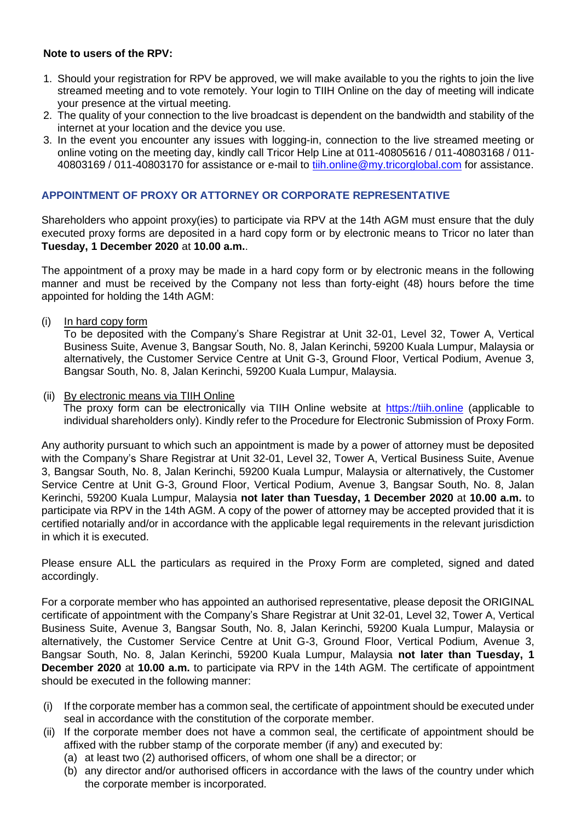### **Note to users of the RPV:**

- 1. Should your registration for RPV be approved, we will make available to you the rights to join the live streamed meeting and to vote remotely. Your login to TIIH Online on the day of meeting will indicate your presence at the virtual meeting.
- 2. The quality of your connection to the live broadcast is dependent on the bandwidth and stability of the internet at your location and the device you use.
- 3. In the event you encounter any issues with logging-in, connection to the live streamed meeting or online voting on the meeting day, kindly call Tricor Help Line at 011-40805616 / 011-40803168 / 011 40803169 / 011-40803170 for assistance or e-mail to [tiih.online@my.tricorglobal.com](mailto:tiih.online@my.tricorglobal.com) for assistance.

### **APPOINTMENT OF PROXY OR ATTORNEY OR CORPORATE REPRESENTATIVE**

Shareholders who appoint proxy(ies) to participate via RPV at the 14th AGM must ensure that the duly executed proxy forms are deposited in a hard copy form or by electronic means to Tricor no later than **Tuesday, 1 December 2020** at **10.00 a.m.**.

The appointment of a proxy may be made in a hard copy form or by electronic means in the following manner and must be received by the Company not less than forty-eight (48) hours before the time appointed for holding the 14th AGM:

(i) In hard copy form

To be deposited with the Company's Share Registrar at Unit 32-01, Level 32, Tower A, Vertical Business Suite, Avenue 3, Bangsar South, No. 8, Jalan Kerinchi, 59200 Kuala Lumpur, Malaysia or alternatively, the Customer Service Centre at Unit G-3, Ground Floor, Vertical Podium, Avenue 3, Bangsar South, No. 8, Jalan Kerinchi, 59200 Kuala Lumpur, Malaysia.

(ii) By electronic means via TIIH Online

The proxy form can be electronically via TIIH Online website at [https://tiih.online](https://tiih.online/) (applicable to individual shareholders only). Kindly refer to the Procedure for Electronic Submission of Proxy Form.

Any authority pursuant to which such an appointment is made by a power of attorney must be deposited with the Company's Share Registrar at Unit 32-01, Level 32, Tower A, Vertical Business Suite, Avenue 3, Bangsar South, No. 8, Jalan Kerinchi, 59200 Kuala Lumpur, Malaysia or alternatively, the Customer Service Centre at Unit G-3, Ground Floor, Vertical Podium, Avenue 3, Bangsar South, No. 8, Jalan Kerinchi, 59200 Kuala Lumpur, Malaysia **not later than Tuesday, 1 December 2020** at **10.00 a.m.** to participate via RPV in the 14th AGM. A copy of the power of attorney may be accepted provided that it is certified notarially and/or in accordance with the applicable legal requirements in the relevant jurisdiction in which it is executed.

Please ensure ALL the particulars as required in the Proxy Form are completed, signed and dated accordingly.

For a corporate member who has appointed an authorised representative, please deposit the ORIGINAL certificate of appointment with the Company's Share Registrar at Unit 32-01, Level 32, Tower A, Vertical Business Suite, Avenue 3, Bangsar South, No. 8, Jalan Kerinchi, 59200 Kuala Lumpur, Malaysia or alternatively, the Customer Service Centre at Unit G-3, Ground Floor, Vertical Podium, Avenue 3, Bangsar South, No. 8, Jalan Kerinchi, 59200 Kuala Lumpur, Malaysia **not later than Tuesday, 1 December 2020** at **10.00 a.m.** to participate via RPV in the 14th AGM. The certificate of appointment should be executed in the following manner:

- (i) If the corporate member has a common seal, the certificate of appointment should be executed under seal in accordance with the constitution of the corporate member.
- (ii) If the corporate member does not have a common seal, the certificate of appointment should be affixed with the rubber stamp of the corporate member (if any) and executed by:
	- (a) at least two (2) authorised officers, of whom one shall be a director; or
	- (b) any director and/or authorised officers in accordance with the laws of the country under which the corporate member is incorporated.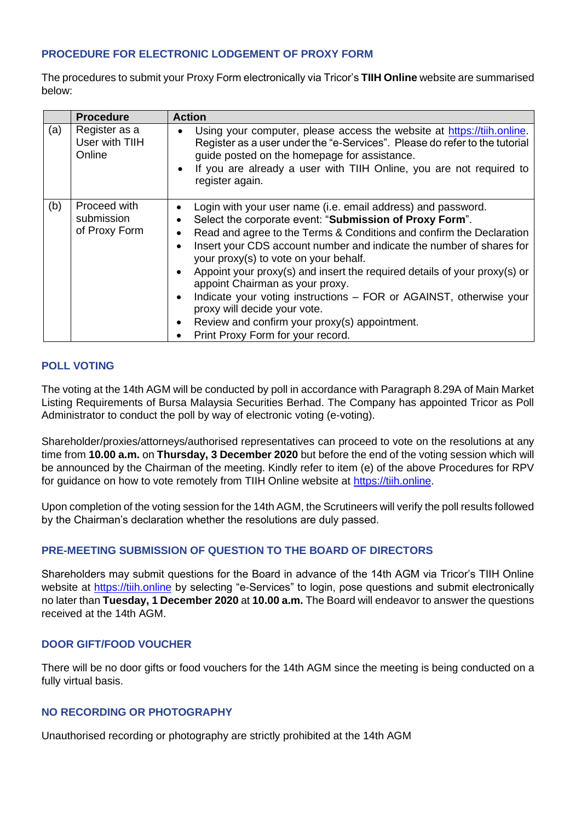### **PROCEDURE FOR ELECTRONIC LODGEMENT OF PROXY FORM**

The procedures to submit your Proxy Form electronically via Tricor's **TIIH Online** website are summarised below:

|     | <b>Procedure</b>                            | <b>Action</b>                                                                                                                                                                                                                                                                                                                                                                                                                                                                                                                                                                                                                |
|-----|---------------------------------------------|------------------------------------------------------------------------------------------------------------------------------------------------------------------------------------------------------------------------------------------------------------------------------------------------------------------------------------------------------------------------------------------------------------------------------------------------------------------------------------------------------------------------------------------------------------------------------------------------------------------------------|
| (a) | Register as a<br>User with TIIH<br>Online   | Using your computer, please access the website at https://tiih.online.<br>Register as a user under the "e-Services". Please do refer to the tutorial<br>guide posted on the homepage for assistance.<br>If you are already a user with TIIH Online, you are not required to<br>register again.                                                                                                                                                                                                                                                                                                                               |
| (b) | Proceed with<br>submission<br>of Proxy Form | Login with your user name (i.e. email address) and password.<br>Select the corporate event: "Submission of Proxy Form".<br>Read and agree to the Terms & Conditions and confirm the Declaration<br>Insert your CDS account number and indicate the number of shares for<br>your proxy(s) to vote on your behalf.<br>Appoint your proxy(s) and insert the required details of your proxy(s) or<br>appoint Chairman as your proxy.<br>Indicate your voting instructions – FOR or AGAINST, otherwise your<br>proxy will decide your vote.<br>Review and confirm your proxy(s) appointment.<br>Print Proxy Form for your record. |

### **POLL VOTING**

The voting at the 14th AGM will be conducted by poll in accordance with Paragraph 8.29A of Main Market Listing Requirements of Bursa Malaysia Securities Berhad. The Company has appointed Tricor as Poll Administrator to conduct the poll by way of electronic voting (e-voting).

Shareholder/proxies/attorneys/authorised representatives can proceed to vote on the resolutions at any time from **10.00 a.m.** on **Thursday, 3 December 2020** but before the end of the voting session which will be announced by the Chairman of the meeting. Kindly refer to item (e) of the above Procedures for RPV for guidance on how to vote remotely from TIIH Online website at [https://tiih.online.](https://tiih.online/)

Upon completion of the voting session for the 14th AGM, the Scrutineers will verify the poll results followed by the Chairman's declaration whether the resolutions are duly passed.

### **PRE-MEETING SUBMISSION OF QUESTION TO THE BOARD OF DIRECTORS**

Shareholders may submit questions for the Board in advance of the 14th AGM via Tricor's TIIH Online website at [https://tiih.online](https://tiih.online/) by selecting "e-Services" to login, pose questions and submit electronically no later than **Tuesday, 1 December 2020** at **10.00 a.m.** The Board will endeavor to answer the questions received at the 14th AGM.

### **DOOR GIFT/FOOD VOUCHER**

There will be no door gifts or food vouchers for the 14th AGM since the meeting is being conducted on a fully virtual basis.

### **NO RECORDING OR PHOTOGRAPHY**

Unauthorised recording or photography are strictly prohibited at the 14th AGM